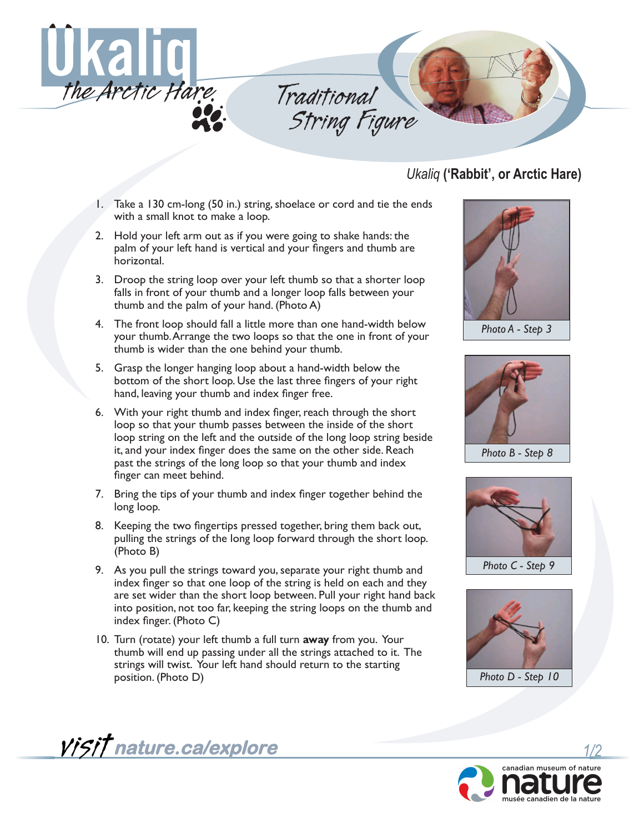

*Traditional String Figure*

*Ukaliq* **('Rabbit', or Arctic Hare)**

- 1. Take a 130 cm-long (50 in.) string, shoelace or cord and tie the ends with a small knot to make a loop.
- 2. Hold your left arm out as if you were going to shake hands: the palm of your left hand is vertical and your fingers and thumb are horizontal.
- 3. Droop the string loop over your left thumb so that a shorter loop falls in front of your thumb and a longer loop falls between your thumb and the palm of your hand. (Photo A)
- 4. The front loop should fall a little more than one hand-width below your thumb. Arrange the two loops so that the one in front of your thumb is wider than the one behind your thumb.
- 5. Grasp the longer hanging loop about a hand-width below the bottom of the short loop. Use the last three fingers of your right hand, leaving your thumb and index finger free.
- 6. With your right thumb and index finger, reach through the short loop so that your thumb passes between the inside of the short loop string on the left and the outside of the long loop string beside it, and your index finger does the same on the other side. Reach past the strings of the long loop so that your thumb and index finger can meet behind.
- 7. Bring the tips of your thumb and index finger together behind the long loop.
- 8. Keeping the two fingertips pressed together, bring them back out, pulling the strings of the long loop forward through the short loop. (Photo B)
- 9. As you pull the strings toward you, separate your right thumb and index finger so that one loop of the string is held on each and they are set wider than the short loop between. Pull your right hand back into position, not too far, keeping the string loops on the thumb and index finger. (Photo C)
- 10. Turn (rotate) your left thumb a full turn **away** from you. Your thumb will end up passing under all the strings attached to it. The strings will twist. Your left hand should return to the starting position. (Photo D)



*Photo A - Step 3*



*Photo B - Step 8*



*Photo C - Step 9*





**nature.ca/explore**